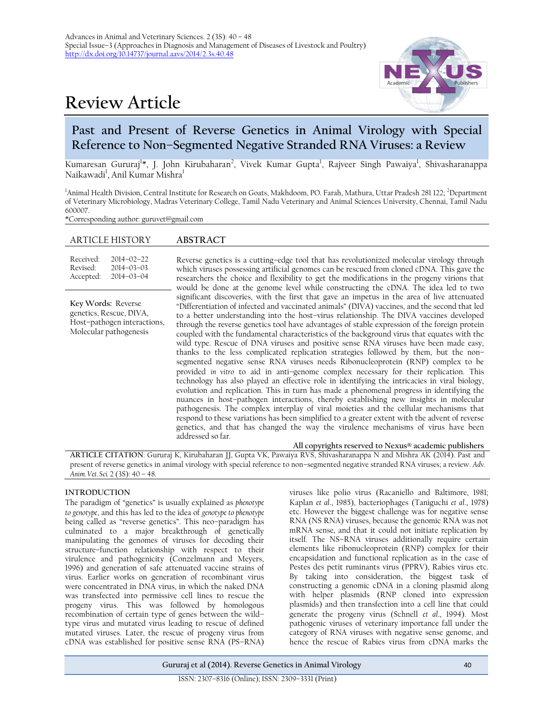# **Review Article**



# **Past and Present of Reverse Genetics in Animal Virology with Special Reference to Non–Segmented Negative Stranded RNA Viruses: a Review**

Kumaresan Gururaj<sup>1</sup>\*, J. John Kirubaharan<sup>2</sup>, Vivek Kumar Gupta<sup>1</sup>, Rajveer Singh Pawaiya<sup>1</sup>, Shivasharanappa Naikawadi<sup>1</sup>, Anil Kumar Mishra<sup>1</sup>

<sup>1</sup>Animal Health Division, Central Institute for Research on Goats, Makhdoom, PO. Farah, Mathura, Uttar Pradesh 281 122; <sup>2</sup>Department of Veterinary Microbiology, Madras Veterinary College, Tamil Nadu Veterinary and Animal Sciences University, Chennai, Tamil Nadu 600007.

\*Corresponding author: [guruvet@gmail.com](mailto:guruvet@gmail.com)

| <b>ARTICLE HISTORY</b>                                                                                 |                                                          | <b>ABSTRACT</b>                                                                                                                                                                                                                                                                                                                                                                                                                                                                                                                                                                                                                                                                                                                                                                                                                                                                                                                                                                                                                                                                                                                                                                                                                                                                                                                                                                                                                                   |
|--------------------------------------------------------------------------------------------------------|----------------------------------------------------------|---------------------------------------------------------------------------------------------------------------------------------------------------------------------------------------------------------------------------------------------------------------------------------------------------------------------------------------------------------------------------------------------------------------------------------------------------------------------------------------------------------------------------------------------------------------------------------------------------------------------------------------------------------------------------------------------------------------------------------------------------------------------------------------------------------------------------------------------------------------------------------------------------------------------------------------------------------------------------------------------------------------------------------------------------------------------------------------------------------------------------------------------------------------------------------------------------------------------------------------------------------------------------------------------------------------------------------------------------------------------------------------------------------------------------------------------------|
| Received:<br>Revised:<br>Accepted:                                                                     | $2014 - 02 - 22$<br>$2014 - 03 - 03$<br>$2014 - 03 - 04$ | Reverse genetics is a cutting-edge tool that has revolutionized molecular virology through<br>which viruses possessing artificial genomes can be rescued from cloned cDNA. This gave the<br>researchers the choice and flexibility to get the modifications in the progeny virions that<br>would be done at the genome level while constructing the cDNA. The idea led to two                                                                                                                                                                                                                                                                                                                                                                                                                                                                                                                                                                                                                                                                                                                                                                                                                                                                                                                                                                                                                                                                     |
| Key Words: Reverse<br>genetics, Rescue, DIVA,<br>Host-pathogen interactions,<br>Molecular pathogenesis |                                                          | significant discoveries, with the first that gave an impetus in the area of live attenuated<br>"Differentiation of infected and vaccinated animals" (DIVA) vaccines, and the second that led<br>to a better understanding into the host-virus relationship. The DIVA vaccines developed<br>through the reverse genetics tool have advantages of stable expression of the foreign protein<br>coupled with the fundamental characteristics of the background virus that equates with the<br>wild type. Rescue of DNA viruses and positive sense RNA viruses have been made easy,<br>thanks to the less complicated replication strategies followed by them, but the non-<br>segmented negative sense RNA viruses needs Ribonucleoprotein (RNP) complex to be<br>provided in vitro to aid in anti-genome complex necessary for their replication. This<br>technology has also played an effective role in identifying the intricacies in viral biology,<br>evolution and replication. This in turn has made a phenomenal progress in identifying the<br>nuances in host-pathogen interactions, thereby establishing new insights in molecular<br>pathogenesis. The complex interplay of viral moieties and the cellular mechanisms that<br>respond to these variations has been simplified to a greater extent with the advent of reverse<br>genetics, and that has changed the way the virulence mechanisms of virus have been<br>addressed so far. |

**ARTICLE CITATION**: Gururaj K, Kirubaharan JJ, Gupta VK, Pawaiya RVS, Shivasharanappa N and Mishra AK (2014). Past and present of reverse genetics in animal virology with special reference to non–segmented negative stranded RNA viruses; a review. *Adv. Anim. Vet. Sci.* 2 (3S): 40 – 48.

# **INTRODUCTION**

The paradigm of "genetics" is usually explained as *phenotype to genotype*, and this has led to the idea of *genotype to phenotype* being called as "reverse genetics". This neo–paradigm has culminated to a major breakthrough of genetically manipulating the genomes of viruses for decoding their structure–function relationship with respect to their virulence and pathogenicity (Conzelmann and Meyers, 1996) and generation of safe attenuated vaccine strains of virus. Earlier works on generation of recombinant virus were concentrated in DNA virus, in which the naked DNA was transfected into permissive cell lines to rescue the progeny virus. This was followed by homologous recombination of certain type of genes between the wild– type virus and mutated virus leading to rescue of defined mutated viruses. Later, the rescue of progeny virus from cDNA was established for positive sense RNA (PS–RNA)

viruses like polio virus (Racaniello and Baltimore, 1981; Kaplan *et al*., 1985), bacteriophages (Taniguchi *et al*., 1978) etc. However the biggest challenge was for negative sense RNA (NS RNA) viruses, because the genomic RNA was not mRNA sense, and that it could not initiate replication by itself. The NS–RNA viruses additionally require certain elements like ribonucleoprotein (RNP) complex for their encapsidation and functional replication as in the case of Pestes des petit ruminants virus (PPRV), Rabies virus etc. By taking into consideration, the biggest task of constructing a genomic cDNA in a cloning plasmid along with helper plasmids (RNP cloned into expression plasmids) and then transfection into a cell line that could generate the progeny virus (Schnell *et al*., 1994). Most pathogenic viruses of veterinary importance fall under the category of RNA viruses with negative sense genome, and hence the rescue of Rabies virus from cDNA marks the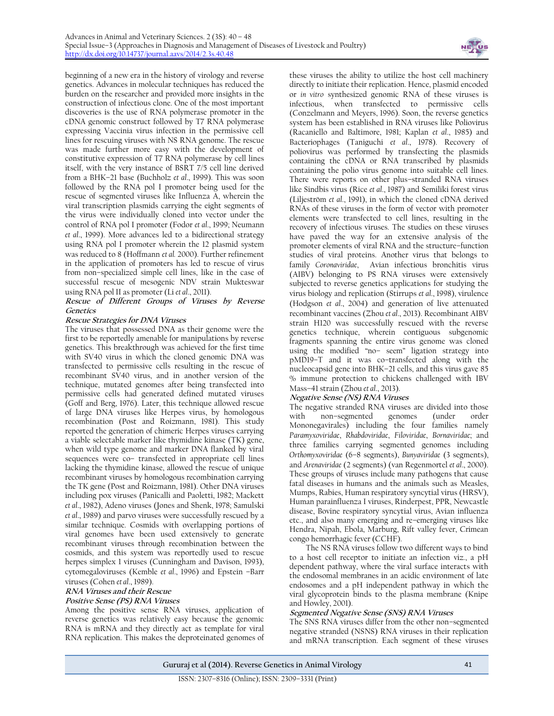

beginning of a new era in the history of virology and reverse genetics. Advances in molecular techniques has reduced the burden on the researcher and provided more insights in the construction of infectious clone. One of the most important discoveries is the use of RNA polymerase promoter in the cDNA genomic construct followed by T7 RNA polymerase expressing Vaccinia virus infection in the permissive cell lines for rescuing viruses with NS RNA genome. The rescue was made further more easy with the development of constitutive expression of T7 RNA polymerase by cell lines itself, with the very instance of BSRT 7/5 cell line derived from a BHK–21 base (Buchholz *et al*., 1999). This was soon followed by the RNA pol I promoter being used for the rescue of segmented viruses like Influenza A, wherein the viral transcription plasmids carrying the eight segments of the virus were individually cloned into vector under the control of RNA pol I promoter (Fodor *et al*., 1999; Neumann *et al*., 1999). More advances led to a bidirectional strategy using RNA pol I promoter wherein the 12 plasmid system was reduced to 8 (Hoffmann *et al.* 2000). Further refinement in the application of promoters has led to rescue of virus from non–specialized simple cell lines, like in the case of successful rescue of mesogenic NDV strain Mukteswar using RNA pol II as promoter (Li *et al*., 2011).

# **Rescue of Different Groups of Viruses by Reverse Genetics**

## **Rescue Strategies for DNA Viruses**

The viruses that possessed DNA as their genome were the first to be reportedly amenable for manipulations by reverse genetics. This breakthrough was achieved for the first time with SV40 virus in which the cloned genomic DNA was transfected to permissive cells resulting in the rescue of recombinant SV40 virus, and in another version of the technique, mutated genomes after being transfected into permissive cells had generated defined mutated viruses (Goff and Berg, 1976). Later, this technique allowed rescue of large DNA viruses like Herpes virus, by homologous recombination (Post and Roizmann, 1981). This study reported the generation of chimeric Herpes viruses carrying a viable selectable marker like thymidine kinase (TK) gene, when wild type genome and marker DNA flanked by viral sequences were co– transfected in appropriate cell lines lacking the thymidine kinase, allowed the rescue of unique recombinant viruses by homologous recombination carrying the TK gene (Post and Roizmann, 1981). Other DNA viruses including pox viruses (Panicalli and Paoletti, 1982; Mackett *et al*., 1982), Adeno viruses (Jones and Shenk, 1978; Samulski *et al*., 1989) and parvo viruses were successfully rescued by a similar technique. Cosmids with overlapping portions of viral genomes have been used extensively to generate recombinant viruses through recombination between the cosmids, and this system was reportedly used to rescue herpes simplex 1 viruses (Cunningham and Davison, 1993), cytomegaloviruses (Kemble *et al*., 1996) and Epstein –Barr viruses (Cohen *et al*., 1989).

# **RNA Viruses and their Rescue**

## **Positive Sense (PS) RNA Viruses**

Among the positive sense RNA viruses, application of reverse genetics was relatively easy because the genomic RNA is mRNA and they directly act as template for viral RNA replication. This makes the deproteinated genomes of

these viruses the ability to utilize the host cell machinery directly to initiate their replication. Hence, plasmid encoded or *in vitro* synthesized genomic RNA of these viruses is infectious, when transfected to permissive cells (Conzelmann and Meyers, 1996). Soon, the reverse genetics system has been established in RNA viruses like Poliovirus (Racaniello and Baltimore, 1981; Kaplan *et al*., 1985) and Bacteriophages (Taniguchi *et al*., 1978). Recovery of poliovirus was performed by transfecting the plasmids containing the cDNA or RNA transcribed by plasmids containing the polio virus genome into suitable cell lines. There were reports on other plus–stranded RNA viruses like Sindbis virus (Rice *et al*., 1987) and Semiliki forest virus (Liljeström *et al*., 1991), in which the cloned cDNA derived RNAs of these viruses in the form of vector with promoter elements were transfected to cell lines, resulting in the recovery of infectious viruses. The studies on these viruses have paved the way for an extensive analysis of the promoter elements of viral RNA and the structure–function studies of viral proteins. Another virus that belongs to family *Coronaviridae*, Avian infectious bronchitis virus (AIBV) belonging to PS RNA viruses were extensively subjected to reverse genetics applications for studying the virus biology and replication (Stirrups *et al*., 1998), virulence (Hodgson *et al*., 2004) and generation of live attenuated recombinant vaccines (Zhou *et al*., 2013). Recombinant AIBV strain H120 was successfully rescued with the reverse genetics technique, wherein contiguous subgenomic fragments spanning the entire virus genome was cloned using the modified "no– seem" ligation strategy into pMD19–T and it was co–transfected along with the nucleocapsid gene into BHK–21 cells, and this virus gave 85 % immune protection to chickens challenged with IBV Mass–41 strain (Zhou *et al*., 2013).

# **Negative Sense (NS) RNA Viruses**

The negative stranded RNA viruses are divided into those<br>with non-segmented genomes (under order with non–segmented genomes (under order Mononegavirales) including the four families namely *Paramyxoviridae*, *Rhabdoviridae*, *Filoviridae*, *Bornaviridae*; and three families carrying segmented genomes including *Orthomyxoviridae* (6–8 segments), *Bunyaviridae* (3 segments), and *Arenaviridae* (2 segments) (van Regenmortel *et al*., 2000). These groups of viruses include many pathogens that cause fatal diseases in humans and the animals such as Measles, Mumps, Rabies, Human respiratory syncytial virus (HRSV), Human parainfluenza I viruses, Rinderpest, PPR, Newcastle disease, Bovine respiratory syncytial virus, Avian influenza etc., and also many emerging and re–emerging viruses like Hendra, Nipah, Ebola, Marburg, Rift valley fever, Crimean congo hemorrhagic fever (CCHF).

The NS RNA viruses follow two different ways to bind to a host cell receptor to initiate an infection viz., a pH dependent pathway, where the viral surface interacts with the endosomal membranes in an acidic environment of late endosomes and a pH independent pathway in which the viral glycoprotein binds to the plasma membrane (Knipe and Howley, 2001).

#### **Segmented Negative Sense (SNS) RNA Viruses**

The SNS RNA viruses differ from the other non–segmented negative stranded (NSNS) RNA viruses in their replication and mRNA transcription. Each segment of these viruses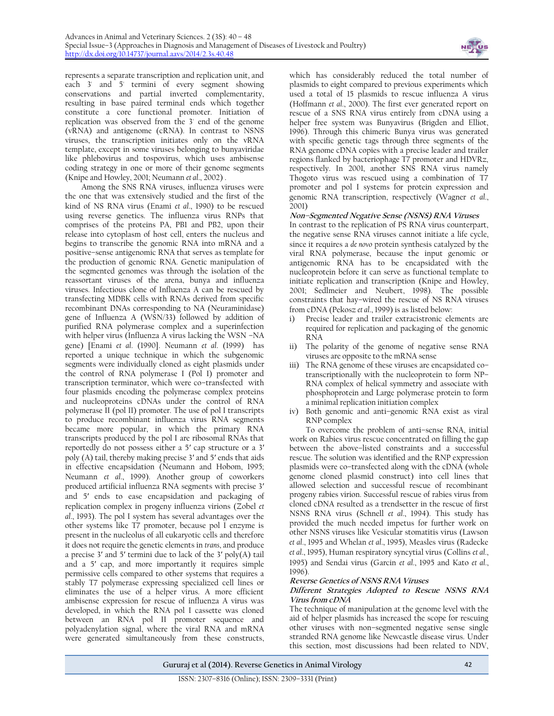

represents a separate transcription and replication unit, and each 3' and 5' termini of every segment showing conservations and partial inverted complementarity, resulting in base paired terminal ends which together constitute a core functional promoter. Initiation of replication was observed from the 3' end of the genome (vRNA) and antigenome (cRNA). In contrast to NSNS viruses, the transcription initiates only on the vRNA template, except in some viruses belonging to bunyaviridae like phlebovirus and tospovirus, which uses ambisense coding strategy in one or more of their genome segments (Knipe and Howley, 2001; Neumann *et al*., 2002) .

Among the SNS RNA viruses, influenza viruses were the one that was extensively studied and the first of the kind of NS RNA virus (Enami *et al*., 1990) to be rescued using reverse genetics. The influenza virus RNPs that comprises of the proteins PA, PB1 and PB2, upon their release into cytoplasm of host cell, enters the nucleus and begins to transcribe the genomic RNA into mRNA and a positive–sense antigenomic RNA that serves as template for the production of genomic RNA. Genetic manipulation of the segmented genomes was through the isolation of the reassortant viruses of the arena, bunya and influenza viruses. Infectious clone of Influenza A can be rescued by transfecting MDBK cells with RNAs derived from specific recombinant DNAs corresponding to NA (Neuraminidase) gene of Influenza A (WSN/33) followed by addition of purified RNA polymerase complex and a superinfection with helper virus (Influenza A virus lacking the WSN –NA gene) [Enami *et al*. (1990]. Neumann *et al*. (1999) has reported a unique technique in which the subgenomic segments were individually cloned as eight plasmids under the control of RNA polymerase I (Pol I) promoter and transcription terminator, which were co–transfected with four plasmids encoding the polymerase complex proteins and nucleoproteins cDNAs under the control of RNA polymerase II (pol II) promoter. The use of pol I transcripts to produce recombinant influenza virus RNA segments became more popular, in which the primary RNA transcripts produced by the pol I are ribosomal RNAs that reportedly do not possess either a 5′ cap structure or a 3′ poly (A) tail, thereby making precise 3′ and 5′ ends that aids in effective encapsidation (Neumann and Hobom, 1995; Neumann *et al*., 1999). Another group of coworkers produced artificial influenza RNA segments with precise 3′ and 5′ ends to ease encapsidation and packaging of replication complex in progeny influenza virions (Zobel *et al*., 1993). The pol I system has several advantages over the other systems like T7 promoter, because pol I enzyme is present in the nucleolus of all eukaryotic cells and therefore it does not require the genetic elements in *trans*, and produce a precise 3′ and 5′ termini due to lack of the 3′ poly(A) tail and a 5′ cap, and more importantly it requires simple permissive cells compared to other systems that requires a stably T7 polymerase expressing specialized cell lines or eliminates the use of a helper virus. A more efficient ambisense expression for rescue of influenza A virus was developed, in which the RNA pol I cassette was cloned between an RNA pol II promoter sequence and polyadenylation signal, where the viral RNA and mRNA were generated simultaneously from these constructs,

which has considerably reduced the total number of plasmids to eight compared to previous experiments which used a total of 15 plasmids to rescue influenza A virus (Hoffmann *et al*., 2000). The first ever generated report on rescue of a SNS RNA virus entirely from cDNA using a helper free system was Bunyavirus (Brigden and Elliot, 1996). Through this chimeric Bunya virus was generated with specific genetic tags through three segments of the RNA genome cDNA copies with a precise leader and trailer regions flanked by bacteriophage T7 promoter and HDVRz, respectively. In 2001, another SNS RNA virus namely Thogoto virus was rescued using a combination of T7 promoter and pol I systems for protein expression and genomic RNA transcription, respectively (Wagner *et al*., 2001)

#### **Non–Segmented Negative Sense (NSNS) RNA Viruses**

In contrast to the replication of PS RNA virus counterpart, the negative sense RNA viruses cannot initiate a life cycle, since it requires a *de novo* protein synthesis catalyzed by the viral RNA polymerase, because the input genomic or antigenomic RNA has to be encapsidated with the nucleoprotein before it can serve as functional template to initiate replication and transcription (Knipe and Howley, 2001; Sedlmeier and Neubert, 1998). The possible constraints that hay–wired the rescue of NS RNA viruses from cDNA (Pekosz *et al*., 1999) is as listed below:

- i) Precise leader and trailer extracistronic elements are required for replication and packaging of the genomic RNA
- ii) The polarity of the genome of negative sense RNA viruses are opposite to the mRNA sense
- iii) The RNA genome of these viruses are encapsidated co– transcriptionally with the nucleoprotein to form NP– RNA complex of helical symmetry and associate with phosphoprotein and Large polymerase protein to form a minimal replication initiation complex
- iv) Both genomic and anti–genomic RNA exist as viral RNP complex

To overcome the problem of anti–sense RNA, initial work on Rabies virus rescue concentrated on filling the gap between the above–listed constraints and a successful rescue. The solution was identified and the RNP expression plasmids were co–transfected along with the cDNA (whole genome cloned plasmid construct) into cell lines that allowed selection and successful rescue of recombinant progeny rabies virion. Successful rescue of rabies virus from cloned cDNA resulted as a trendsetter in the rescue of first NSNS RNA virus (Schnell *et al*., 1994). This study has provided the much needed impetus for further work on other NSNS viruses like Vesicular stomatitis virus (Lawson *et al*., 1995 and Whelan *et al*., 1995), Measles virus (Radecke *et al*., 1995), Human respiratory syncytial virus (Collins *et al*., 1995) and Sendai virus (Garcin *et al*., 1995 and Kato *et al*., 1996).

#### **Reverse Genetics of NSNS RNA Viruses**

#### **Different Strategies Adopted to Rescue NSNS RNA Virus from cDNA**

The technique of manipulation at the genome level with the aid of helper plasmids has increased the scope for rescuing other viruses with non–segmented negative sense single stranded RNA genome like Newcastle disease virus. Under this section, most discussions had been related to NDV,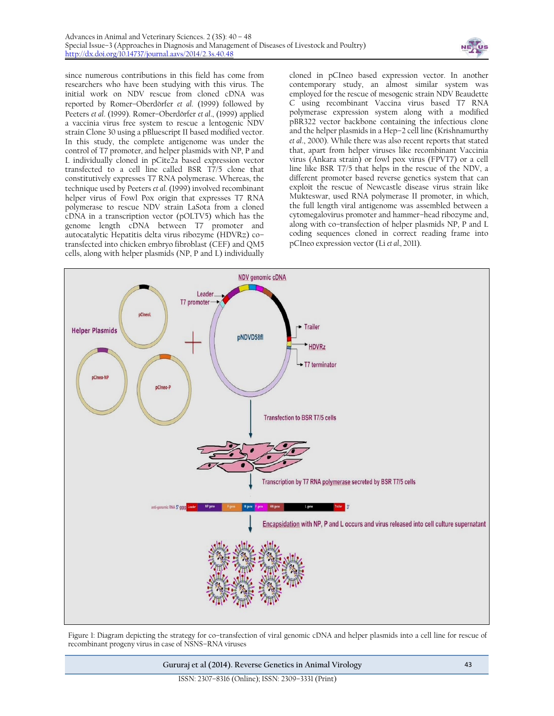

since numerous contributions in this field has come from researchers who have been studying with this virus. The initial work on NDV rescue from cloned cDNA was reported by Romer–Oberdörfer *et al*. (1999) followed by Peeters *et al*. (1999). Romer–Oberdörfer *et al*., (1999) applied a vaccinia virus free system to rescue a lentogenic NDV strain Clone 30 using a pBluescript II based modified vector. In this study, the complete antigenome was under the control of T7 promoter, and helper plasmids with NP, P and L individually cloned in pCite2a based expression vector transfected to a cell line called BSR T7/5 clone that constitutively expresses T7 RNA polymerase. Whereas, the technique used by Peeters *et al*. (1999) involved recombinant helper virus of Fowl Pox origin that expresses T7 RNA polymerase to rescue NDV strain LaSota from a cloned cDNA in a transcription vector (pOLTV5) which has the genome length cDNA between T7 promoter and autocatalytic Hepatitis delta virus ribozyme (HDVRz) co– transfected into chicken embryo fibroblast (CEF) and QM5 cells, along with helper plasmids (NP, P and L) individually

cloned in pCIneo based expression vector. In another contemporary study, an almost similar system was employed for the rescue of mesogenic strain NDV Beaudette C using recombinant Vaccina virus based T7 RNA polymerase expression system along with a modified pBR322 vector backbone containing the infectious clone and the helper plasmids in a Hep–2 cell line (Krishnamurthy *et al*., 2000). While there was also recent reports that stated that, apart from helper viruses like recombinant Vaccinia virus (Ankara strain) or fowl pox virus (FPVT7) or a cell line like BSR T7/5 that helps in the rescue of the NDV, a different promoter based reverse genetics system that can exploit the rescue of Newcastle disease virus strain like Mukteswar, used RNA polymerase II promoter, in which, the full length viral antigenome was assembled between a cytomegalovirus promoter and hammer–head ribozyme and, along with co–transfection of helper plasmids NP, P and L coding sequences cloned in correct reading frame into pCIneo expression vector (Li *et al.,* 2011).



Figure 1: Diagram depicting the strategy for co–transfection of viral genomic cDNA and helper plasmids into a cell line for rescue of recombinant progeny virus in case of NSNS–RNA viruses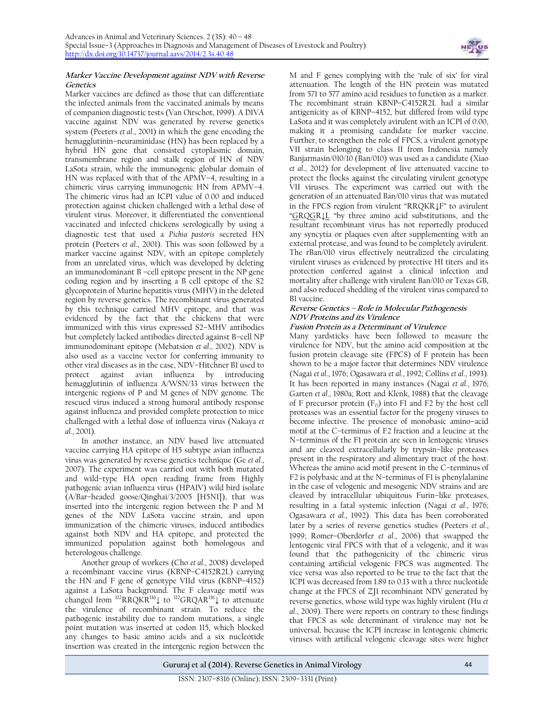

#### **Marker Vaccine Development against NDV with Reverse Genetics**

Marker vaccines are defined as those that can differentiate the infected animals from the vaccinated animals by means of companion diagnostic tests (Van Oirschot, 1999). A DIVA vaccine against NDV was generated by reverse genetics system (Peeters *et al*., 2001) in which the gene encoding the hemagglutinin–neuraminidase (HN) has been replaced by a hybrid HN gene that consisted cytoplasmic domain, transmembrane region and stalk region of HN of NDV LaSota strain, while the immunogenic globular domain of HN was replaced with that of the APMV–4, resulting in a chimeric virus carrying immunogenic HN from APMV–4. The chimeric virus had an ICPI value of 0.00 and induced protection against chicken challenged with a lethal dose of virulent virus. Moreover, it differentiated the conventional vaccinated and infected chickens serologically by using a diagnostic test that used a *Pichia pastoris* secreted HN protein (Peeters *et al*., 2001). This was soon followed by a marker vaccine against NDV, with an epitope completely from an unrelated virus, which was developed by deleting an immunodominant B –cell epitope present in the NP gene coding region and by inserting a B cell epitope of the S2 glycoprotein of Murine hepatitis virus (MHV) in the deleted region by reverse genetics. The recombinant virus generated by this technique carried MHV epitope, and that was evidenced by the fact that the chickens that were immunized with this virus expressed S2–MHV antibodies but completely lacked antibodies directed against B–cell NP immunodominant epitope (Mebatsion *et al*., 2002). NDV is also used as a vaccine vector for conferring immunity to other viral diseases as in the case, NDV–Hitchner B1 used to protect against avian influenza by introducing hemagglutinin of influenza A/WSN/33 virus between the intergenic regions of P and M genes of NDV genome. The rescued virus induced a strong humoral antibody response against influenza and provided complete protection to mice challenged with a lethal dose of influenza virus (Nakaya *et al*., 2001).

In another instance, an NDV based live attenuated vaccine carrying HA epitope of H5 subtype avian influenza virus was generated by reverse genetics technique (Ge *et al*., 2007). The experiment was carried out with both mutated and wild–type HA open reading frame from Highly pathogenic avian influenza virus (HPAIV) wild bird isolate (A/Bar–headed goose/Qinghai/3/2005 [H5N1]), that was inserted into the intergenic region between the P and M genes of the NDV LaSota vaccine strain, and upon immunization of the chimeric viruses, induced antibodies against both NDV and HA epitope, and protected the immunized population against both homologous and heterologous challenge.

Another group of workers (Cho *et al*., 2008) developed a recombinant vaccine virus (KBNP–C4152R2L) carrying the HN and F gene of genotype VIId virus (KBNP–4152) against a LaSota background. The F cleavage motif was changed from <sup>112</sup>RRQKR<sup>116</sup>↓ to <sup>112</sup>GRQAR<sup>116</sup>↓ to attenuate the virulence of recombinant strain. To reduce the pathogenic instability due to random mutations, a single point mutation was inserted at codon 115, which blocked any changes to basic amino acids and a six nucleotide insertion was created in the intergenic region between the

M and F genes complying with the 'rule of six' for viral attenuation. The length of the HN protein was mutated from 571 to 577 amino acid residues to function as a marker. The recombinant strain KBNP–C4152R2L had a similar antigenicity as of KBNP–4152, but differed from wild type LaSota and it was completely avirulent with an ICPI of 0.00, making it a promising candidate for marker vaccine. Further, to strengthen the role of FPCS, a virulent genotype VII strain belonging to class II from Indonesia namely Banjarmasin/010/10 (Ban/010) was used as a candidate (Xiao *et al*., 2012) for development of live attenuated vaccine to protect the flocks against the circulating virulent genotype VII viruses. The experiment was carried out with the generation of an attenuated Ban/010 virus that was mutated in the FPCS region from virulent "RRQKR↓F" to avirulent "GRQGR↓L "by three amino acid substitutions, and the resultant recombinant virus has not reportedly produced any syncytia or plaques even after supplementing with an external protease, and was found to be completely avirulent. The rBan/010 virus effectively neutralized the circulating virulent viruses as evidenced by protective HI titers and its protection conferred against a clinical infection and mortality after challenge with virulent Ban/010 or Texas GB, and also reduced shedding of the virulent virus compared to B1 vaccine.

## **Reverse Genetics – Role in Molecular Pathogenesis NDV Proteins and its Virulence**

# **Fusion Protein as a Determinant of Virulence**

Many yardsticks have been followed to measure the virulence for NDV, but the amino acid composition at the fusion protein cleavage site (FPCS) of F protein has been shown to be a major factor that determines NDV virulence (Nagai *et al*., 1976; Ogasawara *et al*., 1992; Collins *et al*., 1993). It has been reported in many instances (Nagai *et al*., 1976; Garten *et al*., 1980a; Rott and Klenk, 1988) that the cleavage of F precursor protein  $(F_0)$  into F1 and F2 by the host cell proteases was an essential factor for the progeny viruses to become infective. The presence of monobasic amino–acid motif at the C–terminus of F2 fraction and a leucine at the N–terminus of the F1 protein are seen in lentogenic viruses and are cleaved extracellularly by trypsin–like proteases present in the respiratory and alimentary tract of the host. Whereas the amino acid motif present in the C–terminus of F2 is polybasic and at the N–terminus of F1 is phenylalanine in the case of velogenic and mesogenic NDV strains and are cleaved by intracellular ubiquitous Furin–like proteases, resulting in a fatal systemic infection (Nagai *et al*., 1976; Ogasawara *et al*., 1992). This data has been corroborated later by a series of reverse genetics studies (Peeters *et al*., 1999; Romer–Oberdörfer *et al*., 2006) that swapped the lentogenic viral FPCS with that of a velogenic, and it was found that the pathogenicity of the chimeric virus containing artificial velogenic FPCS was augmented. The vice versa was also reported to be true to the fact that the ICPI was decreased from 1.89 to 0.13 with a three nucleotide change at the FPCS of ZJ1 recombinant NDV generated by reverse genetics, whose wild type was highly virulent (Hu *et al*., 2009). There were reports on contrary to these findings that FPCS as sole determinant of virulence may not be universal, because the ICPI increase in lentogenic chimeric viruses with artificial velogenic cleavage sites were higher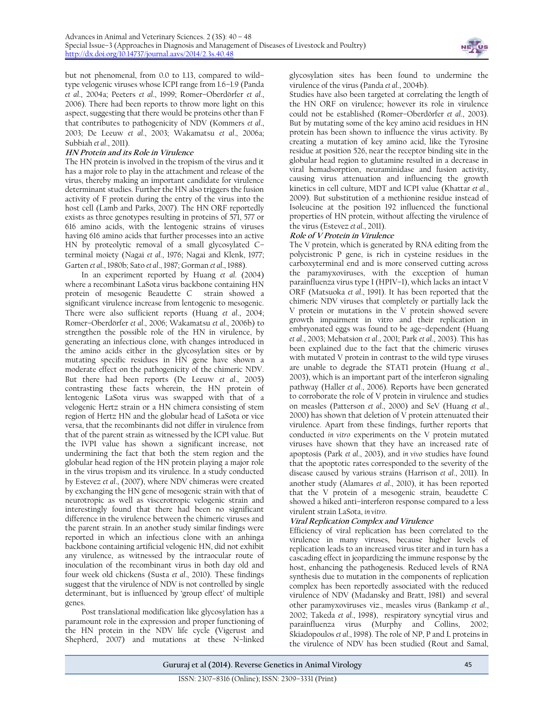

but not phenomenal, from 0.0 to 1.13, compared to wild– type velogenic viruses whose ICPI range from 1.6–1.9 (Panda *et al*., 2004a; Peeters *et al*., 1999; Romer–Oberdörfer *et al*., 2006). There had been reports to throw more light on this aspect, suggesting that there would be proteins other than F that contributes to pathogenicity of NDV (Kommers *et al*., 2003; De Leeuw *et al*., 2003; Wakamatsu *et al*., 2006a; Subbiah *et al*., 2011).

# **HN Protein and its Role in Virulence**

The HN protein is involved in the tropism of the virus and it has a major role to play in the attachment and release of the virus, thereby making an important candidate for virulence determinant studies. Further the HN also triggers the fusion activity of F protein during the entry of the virus into the host cell (Lamb and Parks, 2007). The HN ORF reportedly exists as three genotypes resulting in proteins of 571, 577 or 616 amino acids, with the lentogenic strains of viruses having 616 amino acids that further processes into an active HN by proteolytic removal of a small glycosylated C– terminal moiety (Nagai *et al*., 1976; Nagai and Klenk, 1977; Garten *et al*., 1980b; Sato *et al*., 1987; Gorman *et al*., 1988).

In an experiment reported by Huang *et al*. (2004) where a recombinant LaSota virus backbone containing HN protein of mesogenic Beaudette C strain showed a significant virulence increase from lentogenic to mesogenic. There were also sufficient reports (Huang *et al*., 2004; Romer–Oberdörfer *et al*., 2006; Wakamatsu *et al*., 2006b) to strengthen the possible role of the HN in virulence, by generating an infectious clone, with changes introduced in the amino acids either in the glycosylation sites or by mutating specific residues in HN gene have shown a moderate effect on the pathogenicity of the chimeric NDV. But there had been reports (De Leeuw *et al*., 2005) contrasting these facts wherein, the HN protein of lentogenic LaSota virus was swapped with that of a velogenic Hertz strain or a HN chimera consisting of stem region of Hertz HN and the globular head of LaSota or vice versa, that the recombinants did not differ in virulence from that of the parent strain as witnessed by the ICPI value. But the IVPI value has shown a significant increase, not undermining the fact that both the stem region and the globular head region of the HN protein playing a major role in the virus tropism and its virulence. In a study conducted by Estevez *et al*., (2007), where NDV chimeras were created by exchanging the HN gene of mesogenic strain with that of neurotropic as well as viscerotropic velogenic strain and interestingly found that there had been no significant difference in the virulence between the chimeric viruses and the parent strain. In an another study similar findings were reported in which an infectious clone with an anhinga backbone containing artificial velogenic HN, did not exhibit any virulence, as witnessed by the intraocular route of inoculation of the recombinant virus in both day old and four week old chickens (Susta *et al*., 2010). These findings suggest that the virulence of NDV is not controlled by single determinant, but is influenced by 'group effect' of multiple genes.

Post translational modification like glycosylation has a paramount role in the expression and proper functioning of the HN protein in the NDV life cycle (Vigerust and Shepherd, 2007) and mutations at these N–linked

glycosylation sites has been found to undermine the virulence of the virus (Panda *et al*., 2004b).

Studies have also been targeted at correlating the length of the HN ORF on virulence; however its role in virulence could not be established (Romer–Oberdörfer *et al*., 2003). But by mutating some of the key amino acid residues in HN protein has been shown to influence the virus activity. By creating a mutation of key amino acid, like the Tyrosine residue at position 526, near the receptor binding site in the globular head region to glutamine resulted in a decrease in viral hemadsorption, neuraminidase and fusion activity, causing virus attenuation and influencing the growth kinetics in cell culture, MDT and ICPI value (Khattar *et al*., 2009). But substitution of a methionine residue instead of Isoleucine at the position 192 influenced the functional properties of HN protein, without affecting the virulence of the virus (Estevez *et al*., 2011).

# **Role of V Protein in Virulence**

The V protein, which is generated by RNA editing from the polycistronic P gene, is rich in cysteine residues in the carboxyterminal end and is more conserved cutting across the paramyxoviruses, with the exception of human parainfluenza virus type I (HPIV–1), which lacks an intact V ORF (Matsuoka *et al*., 1991). It has been reported that the chimeric NDV viruses that completely or partially lack the V protein or mutations in the V protein showed severe growth impairment in vitro and their replication in embryonated eggs was found to be age–dependent (Huang *et al*., 2003; Mebatsion *et al*., 2001; Park *et al*., 2003). This has been explained due to the fact that the chimeric viruses with mutated V protein in contrast to the wild type viruses are unable to degrade the STAT1 protein (Huang *et al*., 2003), which is an important part of the interferon signaling pathway (Haller *et al*., 2006). Reports have been generated to corroborate the role of V protein in virulence and studies on measles (Patterson *et al*., 2000) and SeV (Huang *et al*., 2000) has shown that deletion of V protein attenuated their virulence. Apart from these findings, further reports that conducted *in vitro* experiments on the V protein mutated viruses have shown that they have an increased rate of apoptosis (Park *et al*., 2003), and *in vivo* studies have found that the apoptotic rates corresponded to the severity of the disease caused by various strains (Harrison *et al*., 2011). In another study (Alamares *et al*., 2010), it has been reported that the V protein of a mesogenic strain, beaudette C showed a hiked anti–interferon response compared to a less virulent strain LaSota, *in vitro*.

# **Viral Replication Complex and Virulence**

Efficiency of viral replication has been correlated to the virulence in many viruses, because higher levels of replication leads to an increased virus titer and in turn has a cascading effect in jeopardizing the immune response by the host, enhancing the pathogenesis. Reduced levels of RNA synthesis due to mutation in the components of replication complex has been reportedly associated with the reduced virulence of NDV (Madansky and Bratt, 1981) and several other paramyxoviruses viz., measles virus (Bankamp *et al*., 2002; Takeda *et al*., 1998), respiratory syncytial virus and parainfluenza virus (Murphy and Collins, 2002; Skiadopoulos *et al*., 1998). The role of NP, P and L proteins in the virulence of NDV has been studied (Rout and Samal,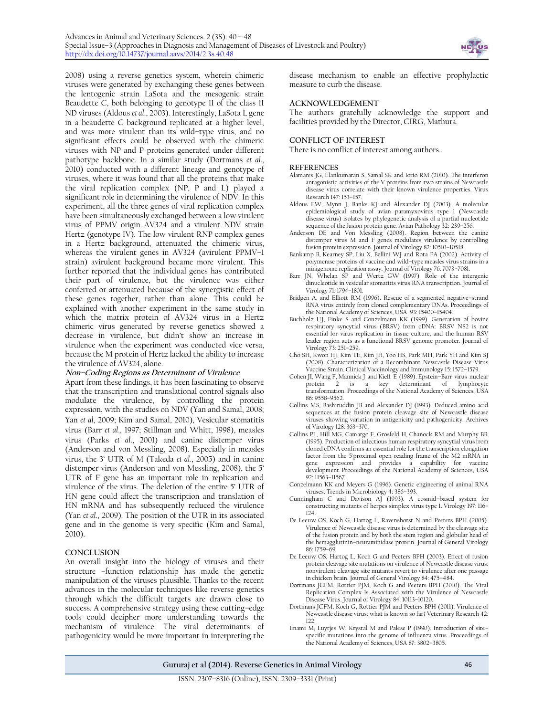

2008) using a reverse genetics system, wherein chimeric viruses were generated by exchanging these genes between the lentogenic strain LaSota and the mesogenic strain Beaudette C, both belonging to genotype II of the class II ND viruses (Aldous *et al*., 2003). Interestingly, LaSota L gene in a beaudette C background replicated at a higher level, and was more virulent than its wild–type virus, and no significant effects could be observed with the chimeric viruses with NP and P proteins generated under different pathotype backbone. In a similar study (Dortmans *et al*., 2010) conducted with a different lineage and genotype of viruses, where it was found that all the proteins that make the viral replication complex (NP, P and L) played a significant role in determining the virulence of NDV. In this experiment, all the three genes of viral replication complex have been simultaneously exchanged between a low virulent virus of PPMV origin AV324 and a virulent NDV strain Hertz (genotype IV). The low virulent RNP complex genes in a Hertz background, attenuated the chimeric virus, whereas the virulent genes in AV324 (avirulent PPMV–1 strain) avirulent background became more virulent. This further reported that the individual genes has contributed their part of virulence, but the virulence was either conferred or attenuated because of the synergistic effect of these genes together, rather than alone. This could be explained with another experiment in the same study in which the matrix protein of AV324 virus in a Hertz chimeric virus generated by reverse genetics showed a decrease in virulence, but didn't show an increase in virulence when the experiment was conducted vice versa, because the M protein of Hertz lacked the ability to increase the virulence of AV324, alone.

#### **Non–Coding Regions as Determinant of Virulence**

Apart from these findings, it has been fascinating to observe that the transcription and translational control signals also modulate the virulence, by controlling the protein expression, with the studies on NDV (Yan and Samal, 2008; Yan *et al*, 2009; Kim and Samal, 2010), Vesicular stomatitis virus (Barr *et al*., 1997; Stillman and Whitt, 1998), measles virus (Parks *et al*., 2001) and canine distemper virus (Anderson and von Messling, 2008). Especially in measles virus, the 3' UTR of M (Takeda *et al*., 2005) and in canine distemper virus (Anderson and von Messling, 2008), the 5' UTR of F gene has an important role in replication and virulence of the virus. The deletion of the entire 5' UTR of HN gene could affect the transcription and translation of HN mRNA and has subsequently reduced the virulence (Yan *et al*., 2009). The position of the UTR in its associated gene and in the genome is very specific (Kim and Samal, 2010).

#### **CONCLUSION**

An overall insight into the biology of viruses and their structure –function relationship has made the genetic manipulation of the viruses plausible. Thanks to the recent advances in the molecular techniques like reverse genetics through which the difficult targets are drawn close to success. A comprehensive strategy using these cutting–edge tools could decipher more understanding towards the mechanism of virulence. The viral determinants of pathogenicity would be more important in interpreting the

disease mechanism to enable an effective prophylactic measure to curb the disease.

#### **ACKNOWLEDGEMENT**

The authors gratefully acknowledge the support and facilities provided by the Director, CIRG, Mathura.

#### **CONFLICT OF INTEREST**

There is no conflict of interest among authors..

#### **REFERENCES**

- Alamares JG, Elankumaran S, Samal SK and Iorio RM (2010). The interferon antagonistic activities of the V proteins from two strains of Newcastle disease virus correlate with their known virulence properties. Virus Research 147: 153–157.
- Aldous EW, Mynn J, Banks KJ and Alexander DJ (2003). A molecular epidemiological study of avian paramyxovirus type 1 (Newcastle disease virus) isolates by phylogenetic analysis of a partial nucleotide sequence of the fusion protein gene. Avian Pathology 32**:** 239–256.
- Anderson DE and Von Messling (2008). Region between the canine distemper virus M and F genes modulates virulence by controlling fusion protein expression. Journal of Virology 82: 10510–10518.
- Bankamp B, Kearney SP, Liu X, Bellini WJ and Rota PA (2002). Activity of polymerase proteins of vaccine and wild–type measles virus strains in a minigenome replication assay. Journal of Virology 76: 7073–7081.
- Barr JN, Whelan SP and Wertz GW (1997). Role of the intergenic dinucleotide in vesicular stomatitis virus RNA transcription. Journal of Virology 71: 1794–1801.
- Bridgen A, and Elliott RM (1996). Rescue of a segmented negative–strand RNA virus entirely from cloned complementary DNAs. Proceedings of the National Academy of Sciences, USA 93: 15400–15404.
- Buchholz UJ, Finke S and Conzelmann KK (1999). Generation of bovine respiratory syncytial virus (BRSV) from cDNA: BRSV NS2 is not essential for virus replication in tissue culture, and the human RSV leader region acts as a functional BRSV genome promoter. Journal of Virology 73: 251–259.
- Cho SH, Kwon HJ, Kim TE, Kim JH, Yoo HS, Park MH, Park YH and Kim SJ (2008). Characterization of a Recombinant Newcastle Disease Virus Vaccine Strain. Clinical Vaccinology and Immunology 15: 1572–1579.
- Cohen JI, Wang F, Mannick J and Kieff E (1989). Epstein–Barr virus nuclear protein 2 is a key determinant of lymphocyte transformation. Proceedings of the National Academy of Sciences, USA 86: 9558–9562.
- Collins MS, Bashiruddin JB and Alexander DJ (1993). Deduced amino acid sequences at the fusion protein cleavage site of Newcastle disease viruses showing variation in antigenicity and pathogenicity. Archives of Virology 128: 363–370.
- Collins PL, Hill MG, Camargo E, Grosfeld H, Chanock RM and Murphy BR (1995). Production of infectious human respiratory syncytial virus from cloned cDNA confirms an essential role for the transcription elongation factor from the 5'proximal open reading frame of the M2 mRNA in gene expression and provides a capability for vaccine development. Proceedings of the National Academy of Sciences, USA 92: 11563–11567.
- Conzelmann KK and Meyers G (1996). Genetic engineering of animal RNA viruses. Trends in Microbiology 4**:** 386–393.
- Cunningham C and Davison AJ (1993). A cosmid-based system for constructing mutants of herpes simplex virus type 1. Virology 197: 116– 124.
- De Leeuw OS, Koch G, Hartog L, Ravenshorst N and Peeters BPH (2005). Virulence of Newcastle disease virus is determined by the cleavage site of the fusion protein and by both the stem region and globular head of the hemagglutinin–neuraminidase protein. Journal of General Virology 86: 1759–69.
- De Leeuw OS, Hartog L, Koch G and Peeters BPH (2003). Effect of fusion protein cleavage site mutations on virulence of Newcastle disease virus: nonvirulent cleavage site mutants revert to virulence after one passage in chicken brain. Journal of General Virology 84: 475–484.
- Dortmans JCFM, Rottier PJM, Koch G and Peeters BPH (2010). The Viral Replication Complex Is Associated with the Virulence of Newcastle Disease Virus. Journal of Virology 84: 10113–10120.
- Dortmans JCFM, Koch G, Rottier PJM and Peeters BPH (2011). Virulence of Newcastle disease virus: what is known so far? Veterinary Research 42:  $122$
- Enami M, Luyties W, Krystal M and Palese P (1990). Introduction of sitespecific mutations into the genome of influenza virus. Proceedings of the National Academy of Sciences, USA 87: 3802–3805.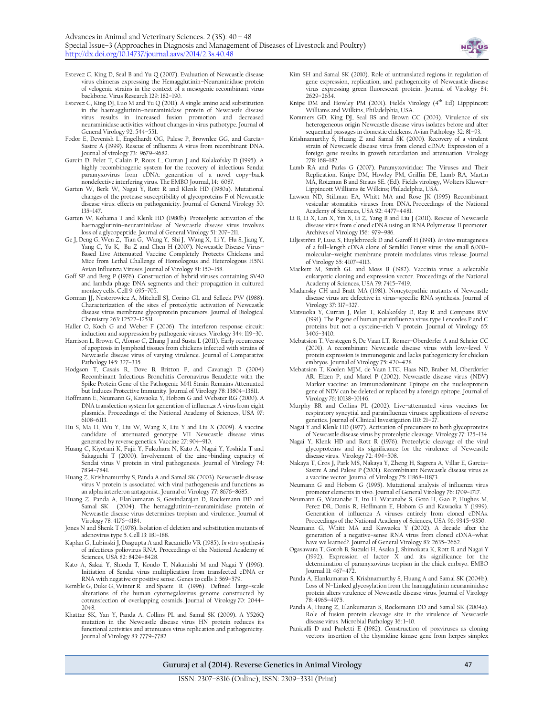

- Estevez C, King D, Seal B and Yu Q (2007). Evaluation of Newcastle disease virus chimeras expressing the Hemagglutinin–Neuraminidase protein of velogenic strains in the context of a mesogenic recombinant virus backbone. Virus Research 129: 182–190.
- Estevez C, King DJ, Luo M and Yu Q (2011). A single amino acid substitution in the haemagglutinin–neuraminidase protein of Newcastle disease virus results in increased fusion promotion and decreased neuraminidase activities without changes in virus pathotype. Journal of General Virology 92: 544–551.
- Fodor E, Devenish L, Engelhardt OG, Palese P, Brownlee GG, and García-Sastre A (1999). Rescue of influenza A virus from recombinant DNA. Journal of virology 73: 9679–9682.
- Garcin D, Pelet T, Calain P, Roux L, Curran J and Kolakofsky D (1995). A highly recombinogenic system for the recovery of infectious Sendai paramyxovirus from cDNA: generation of a novel copy-back
- nondefective interfering virus. The EMBO Journal, 14: 6087. Garten W, Berk W, Nagai Y, Rott R and Klenk HD (1980a). Mutational changes of the protease susceptibility of glycoproteins F of Newcastle disease virus: effects on pathogenicity. Journal of General Virology 50: 135–147.
- Garten W, Kohama T and Klenk HD (1980b). Proteolytic activation of the haemagglutinin–neuraminidase of Newcastle disease virus involves loss of a glycopeptide. Journal of General Virology 51: 207–211.
- Ge J, Deng G, Wen Z, Tian G, Wang Y, Shi J, Wang X, Li Y, Hu S, Jiang Y, Yang C, Yu K, Bu Z and Chen H (2007). Newcastle Disease Virus– Based Live Attenuated Vaccine Completely Protects Chickens and Mice from Lethal Challenge of Homologous and Heterologous H5N1 Avian Influenza Viruses*.* Journal of Virology 81: 150–158.
- Goff SP and Berg P (1976). Construction of hybrid viruses containing SV40 and lambda phage DNA segments and their propagation in cultured monkey cells[. Cell](http://www.ncbi.nlm.nih.gov/pubmed/189942) 9: 695–705.
- Gorman JJ, Nestorowicz A, Mitchell SJ, Corino GL and Selleck PW (1988). Characterization of the sites of proteolytic activation of Newcastle disease virus membrane glycoprotein precursors. Journal of Biological Chemistry 263: 12522–12531.
- Haller O, Koch G and Weber F (2006). The interferon response circuit: induction and suppression by pathogenic viruses. Virology 344: 119–30.
- Harrison L, Brown C, Afonso C, Zhang J and Susta L (2011). Early occurrence of apoptosis in lymphoid tissues from chickens infected with strains of Newcastle disease virus of varying virulence. Journal of Comparative Pathology 145: 327–335.
- Hodgson T, Casais R, Dove B, Britton P, and Cavanagh D (2004) Recombinant Infectious Bronchitis Coronavirus Beaudette with the Spike Protein Gene of the Pathogenic M41 Strain Remains Attenuated but Induces Protective Immunity. Journal of Virology 78: 13804–13811.
- Hoffmann E, Neumann G, Kawaoka Y, Hobom G and Webster RG (2000). A DNA transfection system for generation of influenza A virus from eight plasmids. Proceedings of the National Academy of Sciences, USA 97: 6108–6113.
- Hu S, Ma H, Wu Y, Liu W, Wang X, Liu Y and Liu X (2009). A vaccine candidate of attenuated genotype VII Newcastle disease virus generated by reverse genetics. Vaccine 27: 904–910.
- Huang C, Kiyotani K, Fujii Y, Fukuhara N, Kato A, Nagai Y, Yoshida T and Sakaguchi T (2000). Involvement of the zinc–binding capacity of Sendai virus V protein in viral pathogenesis. Journal of Virology 74: 7834–7841.
- Huang Z, Krishnamurthy S, Panda A and Samal SK (2003). Newcastle disease virus V protein is associated with viral pathogenesis and functions as an alpha interferon antagonist. Journal of Virology **77**: 8676–8685.
- Huang Z, Panda A, Elankumaran S, Govindarajan D, Rockemann DD and Samal SK (2004). The hemagglutinin-neuraminidase protein of (2004). The hemagglutinin-neuraminidase protein of Newcastle disease virus determines tropism and virulence. Journal of Virology 78: 4176–4184.
- Jones N and Shenk T (1978). Isolation of deletion and substitution mutants of adenovirus type 5. Cell 13: 181–188.
- Kaplan G, Lubinski J, Dasgupta A and Racaniello VR (1985). *In vitro* synthesis of infectious poliovirus RNA. Proceedings of the National Academy of Sciences, USA 82: 8424–8428.
- Kato A, Sakai Y, Shioda T, Kondo T, Nakanishi M and Nagai Y (1996). Initiation of Sendai virus multiplication from transfected cDNA or
- RNA with negative or positive sense. Genes to cells 1: 569–579. Kemble G, Duke G, Winter R and Spaete R (1996). Defined large–scale alterations of the human cytomegalovirus genome constructed by cotransfection of overlapping cosmids. Journal of Virology 70: 2044– 2048.
- Khattar SK, Yan Y, Panda A, Collins PL and Samal SK (2009). A Y526Q mutation in the Newcastle disease virus HN protein reduces its functional activities and attenuates virus replication and pathogenicity. Journal of Virology 83: 7779–7782.
- Kim SH and Samal SK (2010). Role of untranslated regions in regulation of gene expression, replication, and pathogenicity of Newcastle disease virus expressing green fluorescent protein. Journal of Virology 84: 2629–2634.
- Knipe DM and Howley PM (2001). Fields Virology (4<sup>th</sup> Ed) Lipppincott
- Williams and Wilkins, Philadelphia, USA. Kommers GD, King DJ, Seal BS and Brown CC (2003). Virulence of six heterogeneous origin Newcastle disease virus isolates before and after sequential passages in domestic chickens. Avian Pathology 32: 81–93.
- Krishnamurthy S, Huang Z and Samal SK (2000). Recovery of a virulent strain of Newcastle disease virus from cloned cDNA: Expression of a foreign gene results in growth retardation and attenuation. Virology 278: 168–182.
- Lamb RA and Parks G (2007). Paramyxoviridae: The Viruses and Their Replication. Knipe DM, Howley PM, Griffin DE, Lamb RA, Martin MA, Roizman B and Straus SE. (Ed). Fields virology, Wolters Kluwer– Lippincott Williams & Wilkins; Philadelphia, USA.
- Lawson ND, Stillman EA, Whitt MA and Rose JK (1995) Recombinant vesicular stomatitis viruses from DNA. Proceedings of the National Academy of Sciences, USA 92: 4477–4481.
- Li B, Li X, Lan X, Yin X, Li Z, Yang B and Liu J (2011). Rescue of Newcastle disease virus from cloned cDNA using an RNA Polymerase II promoter. Archives of Virology 156: 979–986.
- Liljeström P, Lusa S, Huylebroeck D and Garoff H (1991). *In vitro* mutagenesis of a full–length cDNA clone of Semliki Forest virus: the small 6,000– molecular–weight membrane protein modulates virus release. Journal of Virology 65: 4107–4113.
- Mackett M, Smith GL and Moss B (1982). Vaccinia virus: a selectable eukaryotic cloning and expression vector. Proceedings of the National Academy of Sciences, USA 79: 7415–7419.
- Madansky CH and Bratt MA (1981). Noncytopathic mutants of Newcastle disease virus are defective in virus–specific RNA synthesis. Journal of Virology 37: 317–327.
- Matsuoka Y, Curran J, Pelet T, Kolakofsky D, Ray R and Compans RW (1991). The P gene of human parainfluenza virus type 1 encodes P and C proteins but not a cysteine–rich V protein. Journal of Virology 65:  $3406 - 3410$ .
- Mebatsion T, Verstegen S, De Vaan LT, Romer–Oberdörfer A and Schrier CC (2001). A recombinant Newcastle disease virus with low–level V protein expression is immunogenic and lacks pathogenicity for chicken embryos. Journal of Virology 75**:** 420–428.
- Mebatsion T, Koolen MJM, de Vaan LTC, Haas ND, Braber M, Oberdörfer AR, Elzen P, and Marel P (2002). Newcastle disease virus (NDV) Marker vaccine: an Immunodominant Epitope on the nucleoprotein gene of NDV can be deleted or replaced by a foreign epitope. Journal of Virology 76: 10138–10146.
- Murphy BR and Collins PL (2002). Live–attenuated virus vaccines for respiratory syncytial and parainfluenza viruses: applications of reverse genetics. Journal of Clinical Investigation 110: 21–27.
- Nagai Y and Klenk HD (1977). Activation of precursors to both glycoproteins of Newcastle disease virus by proteolytic cleavage. Virology 77: 125–134
- Nagai Y, Klenk HD and Rott R  $(1976)$ . Proteolytic cleavage of the viral glycoproteins and its significance for the virulence of Newcastle disease virus. Virology 72: 494–508.
- Nakaya T, Cros J, Park MS, Nakaya Y, Zheng H, Sagrera A, Villar E, Garcia– Sastre A and Palese P **(**2001). Recombinant Newcastle disease virus as a vaccine vector. Journal of Virology 75**:** 11868–11873.
- Neumann G and Hobom G (1995). Mutational analysis of influenza virus promoter elements in vivo. Journal of General Virology 76: 1709–1717.
- Neumann G, Watanabe T, Ito H, Watanabe S, Goto H, Gao P, Hughes M, Perez DR, Donis R, Hoffmann E, Hobom G and Kawaoka Y (1999). Generation of influenza A viruses entirely from cloned cDNAs. Proceedings of the National Academy of Sciences, USA 96: 9345–9350.
- Neumann G, Whitt MA and Kawaoka Y (2002). A decade after the generation of a negative–sense RNA virus from cloned cDNA–what have we learned?. Journal of General Virology 83: 2635–2662.
- Ogasawara T, Gotoh B, Suzuki H, Asaka J, Shimokata K, Rott R and Nagai Y (1992). Expression of factor X and its significance for the determination of paramyxovirus tropism in the chick embryo. EMBO Journal 11: 467–472.
- Panda A, Elankumaran S, Krishnamurthy S, Huang A and Samal SK (2004b). Loss of N–Linked glycosylation from the hamagglutinin neuraminidase protein alters virulence of Newcastle disease virus. Journal of Virology 78: 4965–4975.
- Panda A, Huang Z, Elankumaran S, Rockemann DD and Samal SK (2004a). Role of fusion protein cleavage site in the virulence of Newcastle disease virus. Microbial Pathology 36: 1–10.
- Panicalli D and Paoletti E (1982). Construction of poxviruses as cloning vectors: insertion of the thymidine kinase gene from herpes simplex